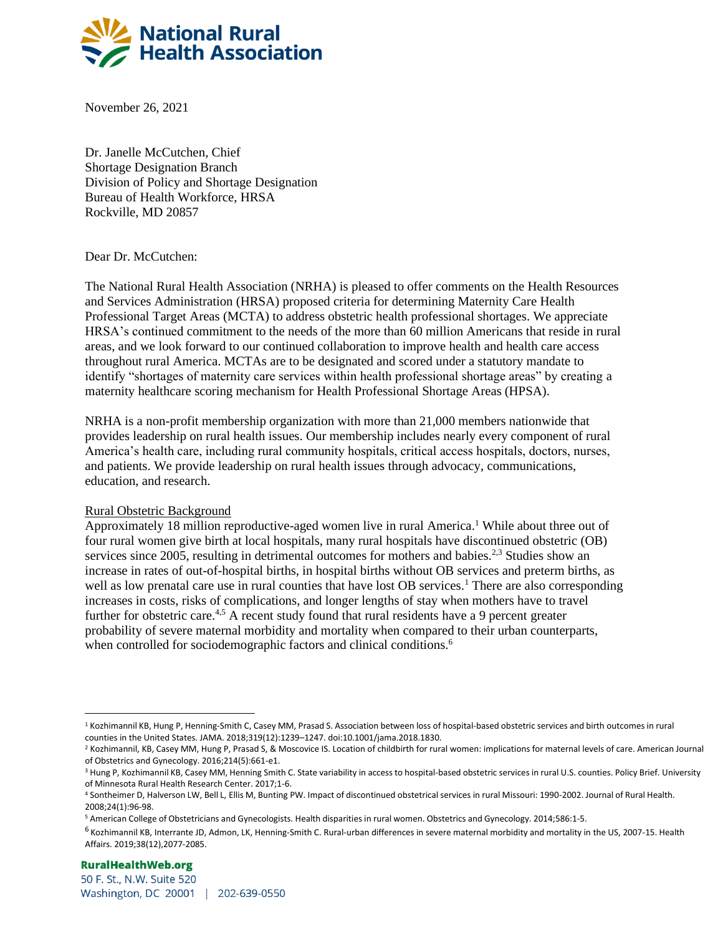

November 26, 2021

Dr. Janelle McCutchen, Chief Shortage Designation Branch Division of Policy and Shortage Designation Bureau of Health Workforce, HRSA Rockville, MD 20857

Dear Dr. McCutchen:

The National Rural Health Association (NRHA) is pleased to offer comments on the Health Resources and Services Administration (HRSA) proposed criteria for determining Maternity Care Health Professional Target Areas (MCTA) to address obstetric health professional shortages. We appreciate HRSA's continued commitment to the needs of the more than 60 million Americans that reside in rural areas, and we look forward to our continued collaboration to improve health and health care access throughout rural America. MCTAs are to be designated and scored under a statutory mandate to identify "shortages of maternity care services within health professional shortage areas" by creating a maternity healthcare scoring mechanism for Health Professional Shortage Areas (HPSA).

NRHA is a non-profit membership organization with more than 21,000 members nationwide that provides leadership on rural health issues. Our membership includes nearly every component of rural America's health care, including rural community hospitals, critical access hospitals, doctors, nurses, and patients. We provide leadership on rural health issues through advocacy, communications, education, and research.

## Rural Obstetric Background

Approximately 18 million reproductive-aged women live in rural America[.](#page-0-0)<sup>1</sup> While about three out of four rural women give birth at local hospitals, many rural hospitals have discontinued obstetric (OB) services since 2005, resulting in detrimental outcomes for mothers and babies.<sup>[2,](#page-0-1)[3](#page-0-2)</sup> Studies show an increase in rates of out-of-hospital births, in hospital births without OB services and preterm births, as well as low prenatal care use in rural counties that have lost OB services.<sup>1</sup> There are also corresponding increases in costs, risks of complications, and longer lengths of stay when mothers have to travel further for obstetric care.<sup>[4,](#page-0-3)[5](#page-0-4)</sup> A recent study found that rural residents have a 9 percent greater probability of severe maternal morbidity and mortality when compared to their urban counterparts, when controlled for sociodemographic factors and clinical conditions.<sup>[6](#page-0-5)</sup>

<span id="page-0-0"></span><sup>&</sup>lt;sup>1</sup> Kozhimannil KB, Hung P, Henning-Smith C, Casey MM, Prasad S. Association between loss of hospital-based obstetric services and birth outcomes in rural counties in the United States. JAMA. 2018;319(12):1239–1247. doi:10.1001/jama.2018.1830.

<span id="page-0-1"></span><sup>&</sup>lt;sup>2</sup> Kozhimannil, KB, Casey MM, Hung P, Prasad S, & Moscovice IS. Location of childbirth for rural women: implications for maternal levels of care. American Journal of Obstetrics and Gynecology. 2016;214(5):661-e1.

<span id="page-0-2"></span><sup>&</sup>lt;sup>3</sup> Hung P, Kozhimannil KB, Casey MM, Henning Smith C. State variability in access to hospital-based obstetric services in rural U.S. counties. Policy Brief. University of Minnesota Rural Health Research Center. 2017;1-6.

<span id="page-0-3"></span><sup>4</sup> Sontheimer D, Halverson LW, Bell L, Ellis M, Bunting PW. Impact of discontinued obstetrical services in rural Missouri: 1990-2002. Journal of Rural Health. 2008;24(1):96-98.

<span id="page-0-4"></span><sup>5</sup> American College of Obstetricians and Gynecologists. Health disparities in rural women. Obstetrics and Gynecology. 2014;586:1-5.

<span id="page-0-5"></span> $6$  Kozhimannil KB, Interrante JD, Admon, LK, Henning-Smith C. Rural-urban differences in severe maternal morbidity and mortality in the US, 2007-15. Health Affairs. 2019;38(12),2077-2085.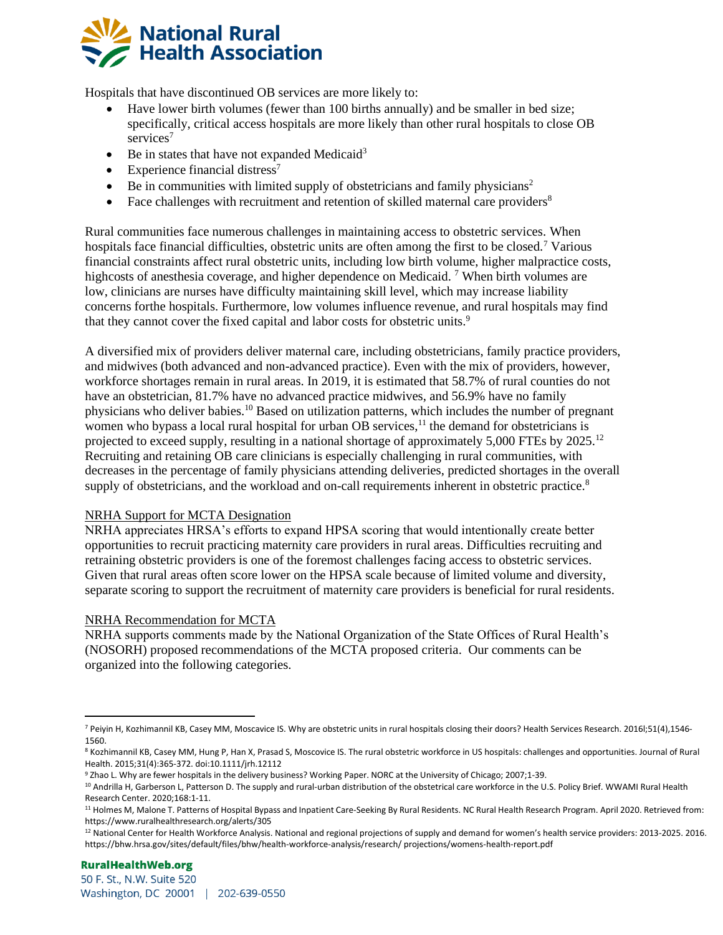

Hospitals that have discontinued OB services are more likely to:

- Have lower birth volumes (fewer than 100 births annually) and be smaller in bed size; specifically, critical access hospitals are more likely than other rural hospitals to close OB [s](#page-1-0)ervices<sup>7</sup>
- Be in states that have not expanded Medicaid<sup>3</sup>
- Experience financial distress<sup>7</sup>
- Be in communities with limited supply of obstetricians and family physicians<sup>2</sup>
- Face challenges with recruitment and retention of skilled maternal care providers<sup>[8](#page-1-1)</sup>

Rural communities face numerous challenges in maintaining access to obstetric services. When hospitals face financial difficulties, obstetric units are often among the first to be closed.<sup>7</sup> Various financial constraints affect rural obstetric units, including low birth volume, higher malpractice costs, highcosts of anesthesia coverage, and higher dependence on Medicaid. <sup>7</sup> When birth volumes are low, clinicians are nurses have difficulty maintaining skill level, which may increase liability concerns forthe hospitals. Furthermore, low volumes influence revenue, and rural hospitals may find that they cannot cover the fixed capital and labor costs for obstetric units[.](#page-1-2)<sup>9</sup>

A diversified mix of providers deliver maternal care, including obstetricians, family practice providers, and midwives (both advanced and non-advanced practice). Even with the mix of providers, however, workforce shortages remain in rural areas. In 2019, it is estimated that 58.7% of rural counties do not have an obstetrician, 81.7% have no advanced practice midwives, and 56.9% have no family physicians who deliver babies.[10](#page-1-3) Based on utilization patterns, which includes the number of pregnant women who bypass a local rural hospital for urban  $\overline{OB}$  services,  $\frac{1}{1}$  the demand for obstetricians is projected to exceed supply, resulting in a national shortage of approximately 5,000 FTEs by 2025.[12](#page-1-5) Recruiting and retaining OB care clinicians is especially challenging in rural communities, with decreases in the percentage of family physicians attending deliveries, predicted shortages in the overall supply of obstetricians, and the workload and on-call requirements inherent in obstetric practice.<sup>8</sup>

## NRHA Support for MCTA Designation

NRHA appreciates HRSA's efforts to expand HPSA scoring that would intentionally create better opportunities to recruit practicing maternity care providers in rural areas. Difficulties recruiting and retraining obstetric providers is one of the foremost challenges facing access to obstetric services. Given that rural areas often score lower on the HPSA scale because of limited volume and diversity, separate scoring to support the recruitment of maternity care providers is beneficial for rural residents.

## NRHA Recommendation for MCTA

NRHA supports comments made by the National Organization of the State Offices of Rural Health's (NOSORH) proposed recommendations of the MCTA proposed criteria. Our comments can be organized into the following categories.

<span id="page-1-0"></span><sup>7</sup> Peiyin H, Kozhimannil KB, Casey MM, Moscavice IS. Why are obstetric units in rural hospitals closing their doors? Health Services Research. 2016l;51(4),1546- 1560.

<span id="page-1-1"></span><sup>&</sup>lt;sup>8</sup> Kozhimannil KB, Casey MM, Hung P, Han X, Prasad S, Moscovice IS. The rural obstetric workforce in US hospitals: challenges and opportunities. Journal of Rural Health. 2015;31(4):365-372. doi:10.1111/jrh.12112

<span id="page-1-2"></span><sup>9</sup> Zhao L. Why are fewer hospitals in the delivery business? Working Paper. NORC at the University of Chicago; 2007;1-39.

<span id="page-1-3"></span><sup>&</sup>lt;sup>10</sup> Andrilla H, Garberson L, Patterson D. The supply and rural-urban distribution of the obstetrical care workforce in the U.S. Policy Brief. WWAMI Rural Health Research Center. 2020;168:1-11.

<span id="page-1-4"></span><sup>&</sup>lt;sup>11</sup> Holmes M, Malone T. Patterns of Hospital Bypass and Inpatient Care-Seeking By Rural Residents. NC Rural Health Research Program. April 2020. Retrieved from: https:/[/www.ruralhealthresearch.org/alerts/305](http://www.ruralhealthresearch.org/alerts/305)

<span id="page-1-5"></span><sup>12</sup> National Center for Health Workforce Analysis. National and regional projections of supply and demand for women's health service providers: 2013-2025. 2016. https://bhw.hrsa.gov/sites/default/files/bhw/health-workforce-analysis/research/ projections/womens-health-report.pdf